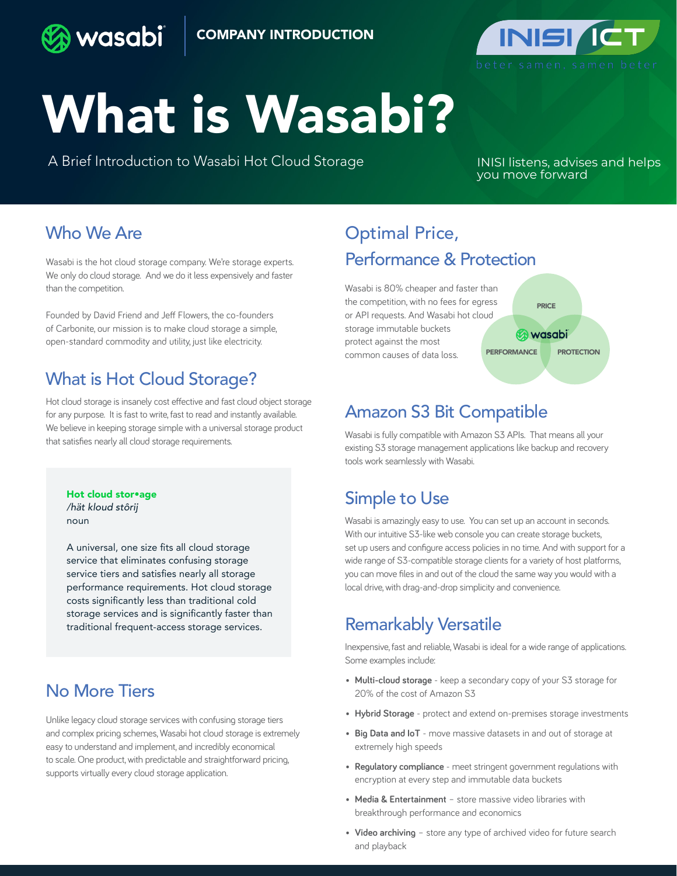



# What is Wasabi?

A Brief Introduction to Wasabi Hot Cloud Storage

INISI listens, advises and helps you move forward

#### Who We Are

Wasabi is the hot cloud storage company. We're storage experts. We only do cloud storage. And we do it less expensively and faster than the competition.

Founded by David Friend and Jeff Flowers, the co-founders of Carbonite, our mission is to make cloud storage a simple, open-standard commodity and utility, just like electricity.

# What is Hot Cloud Storage?

Hot cloud storage is insanely cost effective and fast cloud object storage for any purpose. It is fast to write, fast to read and instantly available. We believe in keeping storage simple with a universal storage product that satisfies nearly all cloud storage requirements.

Hot cloud stor•age */hät kloud stôrij* noun

A universal, one size fits all cloud storage service that eliminates confusing storage service tiers and satisfies nearly all storage performance requirements. Hot cloud storage costs significantly less than traditional cold storage services and is significantly faster than traditional frequent-access storage services.

# No More Tiers

Unlike legacy cloud storage services with confusing storage tiers and complex pricing schemes, Wasabi hot cloud storage is extremely easy to understand and implement, and incredibly economical to scale. One product, with predictable and straightforward pricing, supports virtually every cloud storage application.

# Optimal Price, Performance & Protection

Wasabi is 80% cheaper and faster than the competition, with no fees for egress or API requests. And Wasabi hot cloud storage immutable buckets protect against the most common causes of data loss.



# Amazon S3 Bit Compatible

Wasabi is fully compatible with Amazon S3 APIs. That means all your existing S3 storage management applications like backup and recovery tools work seamlessly with Wasabi.

# Simple to Use

Wasabi is amazingly easy to use. You can set up an account in seconds. With our intuitive S3-like web console you can create storage buckets, set up users and configure access policies in no time. And with support for a wide range of S3-compatible storage clients for a variety of host platforms, you can move files in and out of the cloud the same way you would with a local drive, with drag-and-drop simplicity and convenience.

### Remarkably Versatile

Inexpensive, fast and reliable, Wasabi is ideal for a wide range of applications. Some examples include:

- **• Multi-cloud storage**  keep a secondary copy of your S3 storage for 20% of the cost of Amazon S3
- **• Hybrid Storage** protect and extend on-premises storage investments
- **• Big Data and IoT** move massive datasets in and out of storage at extremely high speeds
- **• Regulatory compliance** meet stringent government regulations with encryption at every step and immutable data buckets
- **• Media & Entertainment** store massive video libraries with breakthrough performance and economics
- **• Video archiving** store any type of archived video for future search and playback